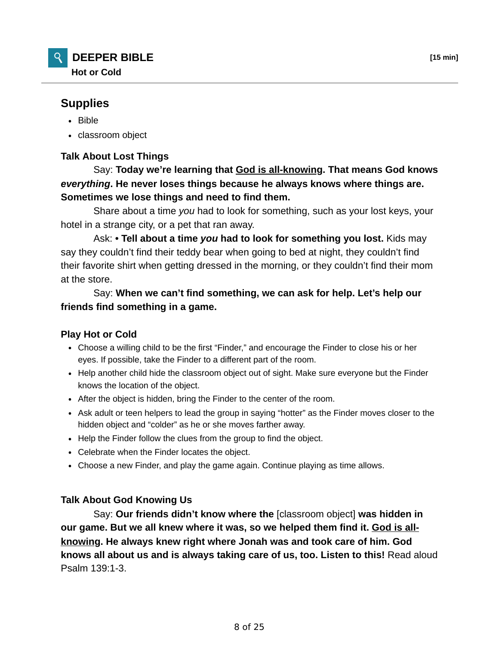

## **Supplies**

- Bible
- classroom object

## **Talk About Lost Things**

 Say: **Today we're learning that God is all-knowing. That means God knows** *everything***. He never loses things because he always knows where things are. Sometimes we lose things and need to find them.**

 Share about a time *you* had to look for something, such as your lost keys, your hotel in a strange city, or a pet that ran away.

 Ask: **• Tell about a time** *you* **had to look for something you lost.** Kids may say they couldn't find their teddy bear when going to bed at night, they couldn't find their favorite shirt when getting dressed in the morning, or they couldn't find their mom at the store.

 Say: **When we can't find something, we can ask for help. Let's help our friends find something in a game.**

## **Play Hot or Cold**

- Choose a willing child to be the first "Finder," and encourage the Finder to close his or her eyes. If possible, take the Finder to a different part of the room.
- Help another child hide the classroom object out of sight. Make sure everyone but the Finder knows the location of the object.
- After the object is hidden, bring the Finder to the center of the room.
- Ask adult or teen helpers to lead the group in saying "hotter" as the Finder moves closer to the hidden object and "colder" as he or she moves farther away.
- Help the Finder follow the clues from the group to find the object.
- Celebrate when the Finder locates the object.
- Choose a new Finder, and play the game again. Continue playing as time allows.

## **Talk About God Knowing Us**

 Say: **Our friends didn't know where the** [classroom object] **was hidden in our game. But we all knew where it was, so we helped them find it. God is allknowing. He always knew right where Jonah was and took care of him. God knows all about us and is always taking care of us, too. Listen to this!** Read aloud Psalm 139:1-3.